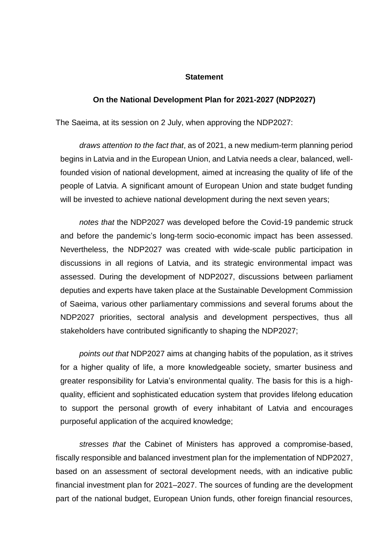## **Statement**

## **On the National Development Plan for 2021-2027 (NDP2027)**

The Saeima, at its session on 2 July, when approving the NDP2027:

*draws attention to the fact that*, as of 2021, a new medium-term planning period begins in Latvia and in the European Union, and Latvia needs a clear, balanced, wellfounded vision of national development, aimed at increasing the quality of life of the people of Latvia. A significant amount of European Union and state budget funding will be invested to achieve national development during the next seven years;

*notes that* the NDP2027 was developed before the Covid-19 pandemic struck and before the pandemic's long-term socio-economic impact has been assessed. Nevertheless, the NDP2027 was created with wide-scale public participation in discussions in all regions of Latvia, and its strategic environmental impact was assessed. During the development of NDP2027, discussions between parliament deputies and experts have taken place at the Sustainable Development Commission of Saeima, various other parliamentary commissions and several forums about the NDP2027 priorities, sectoral analysis and development perspectives, thus all stakeholders have contributed significantly to shaping the NDP2027;

*points out that* NDP2027 aims at changing habits of the population, as it strives for a higher quality of life, a more knowledgeable society, smarter business and greater responsibility for Latvia's environmental quality. The basis for this is a highquality, efficient and sophisticated education system that provides lifelong education to support the personal growth of every inhabitant of Latvia and encourages purposeful application of the acquired knowledge;

*stresses that* the Cabinet of Ministers has approved a compromise-based, fiscally responsible and balanced investment plan for the implementation of NDP2027, based on an assessment of sectoral development needs, with an indicative public financial investment plan for 2021–2027. The sources of funding are the development part of the national budget, European Union funds, other foreign financial resources,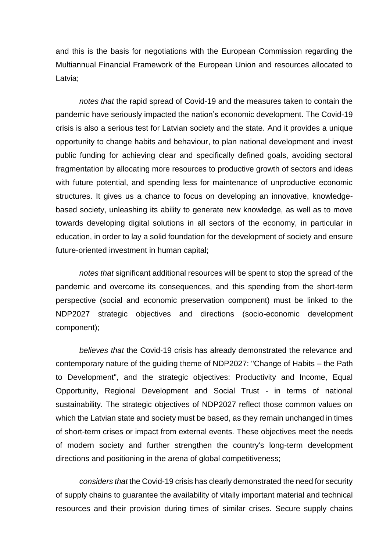and this is the basis for negotiations with the European Commission regarding the Multiannual Financial Framework of the European Union and resources allocated to Latvia;

*notes that* the rapid spread of Covid-19 and the measures taken to contain the pandemic have seriously impacted the nation's economic development. The Covid-19 crisis is also a serious test for Latvian society and the state. And it provides a unique opportunity to change habits and behaviour, to plan national development and invest public funding for achieving clear and specifically defined goals, avoiding sectoral fragmentation by allocating more resources to productive growth of sectors and ideas with future potential, and spending less for maintenance of unproductive economic structures. It gives us a chance to focus on developing an innovative, knowledgebased society, unleashing its ability to generate new knowledge, as well as to move towards developing digital solutions in all sectors of the economy, in particular in education, in order to lay a solid foundation for the development of society and ensure future-oriented investment in human capital;

*notes that* significant additional resources will be spent to stop the spread of the pandemic and overcome its consequences, and this spending from the short-term perspective (social and economic preservation component) must be linked to the NDP2027 strategic objectives and directions (socio-economic development component);

*believes that* the Covid-19 crisis has already demonstrated the relevance and contemporary nature of the guiding theme of NDP2027: "Change of Habits – the Path to Development", and the strategic objectives: Productivity and Income, Equal Opportunity, Regional Development and Social Trust - in terms of national sustainability. The strategic objectives of NDP2027 reflect those common values on which the Latvian state and society must be based, as they remain unchanged in times of short-term crises or impact from external events. These objectives meet the needs of modern society and further strengthen the country's long-term development directions and positioning in the arena of global competitiveness;

*considers that* the Covid-19 crisis has clearly demonstrated the need for security of supply chains to guarantee the availability of vitally important material and technical resources and their provision during times of similar crises. Secure supply chains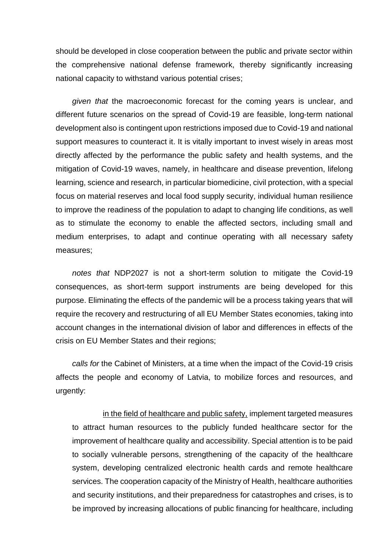should be developed in close cooperation between the public and private sector within the comprehensive national defense framework, thereby significantly increasing national capacity to withstand various potential crises;

*given that* the macroeconomic forecast for the coming years is unclear, and different future scenarios on the spread of Covid-19 are feasible, long-term national development also is contingent upon restrictions imposed due to Covid-19 and national support measures to counteract it. It is vitally important to invest wisely in areas most directly affected by the performance the public safety and health systems, and the mitigation of Covid-19 waves, namely, in healthcare and disease prevention, lifelong learning, science and research, in particular biomedicine, civil protection, with a special focus on material reserves and local food supply security, individual human resilience to improve the readiness of the population to adapt to changing life conditions, as well as to stimulate the economy to enable the affected sectors, including small and medium enterprises, to adapt and continue operating with all necessary safety measures;

*notes that* NDP2027 is not a short-term solution to mitigate the Covid-19 consequences, as short-term support instruments are being developed for this purpose. Eliminating the effects of the pandemic will be a process taking years that will require the recovery and restructuring of all EU Member States economies, taking into account changes in the international division of labor and differences in effects of the crisis on EU Member States and their regions;

*calls for* the Cabinet of Ministers, at a time when the impact of the Covid-19 crisis affects the people and economy of Latvia, to mobilize forces and resources, and urgently:

in the field of healthcare and public safety, implement targeted measures to attract human resources to the publicly funded healthcare sector for the improvement of healthcare quality and accessibility. Special attention is to be paid to socially vulnerable persons, strengthening of the capacity of the healthcare system, developing centralized electronic health cards and remote healthcare services. The cooperation capacity of the Ministry of Health, healthcare authorities and security institutions, and their preparedness for catastrophes and crises, is to be improved by increasing allocations of public financing for healthcare, including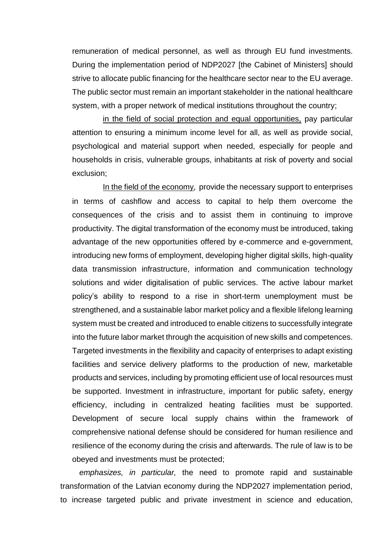remuneration of medical personnel, as well as through EU fund investments. During the implementation period of NDP2027 [the Cabinet of Ministers] should strive to allocate public financing for the healthcare sector near to the EU average. The public sector must remain an important stakeholder in the national healthcare system, with a proper network of medical institutions throughout the country;

in the field of social protection and equal opportunities, pay particular attention to ensuring a minimum income level for all, as well as provide social, psychological and material support when needed, especially for people and households in crisis, vulnerable groups, inhabitants at risk of poverty and social exclusion;

In the field of the economy, provide the necessary support to enterprises in terms of cashflow and access to capital to help them overcome the consequences of the crisis and to assist them in continuing to improve productivity. The digital transformation of the economy must be introduced, taking advantage of the new opportunities offered by e-commerce and e-government, introducing new forms of employment, developing higher digital skills, high-quality data transmission infrastructure, information and communication technology solutions and wider digitalisation of public services. The active labour market policy's ability to respond to a rise in short-term unemployment must be strengthened, and a sustainable labor market policy and a flexible lifelong learning system must be created and introduced to enable citizens to successfully integrate into the future labor market through the acquisition of new skills and competences. Targeted investments in the flexibility and capacity of enterprises to adapt existing facilities and service delivery platforms to the production of new, marketable products and services, including by promoting efficient use of local resources must be supported. Investment in infrastructure, important for public safety, energy efficiency, including in centralized heating facilities must be supported. Development of secure local supply chains within the framework of comprehensive national defense should be considered for human resilience and resilience of the economy during the crisis and afterwards. The rule of law is to be obeyed and investments must be protected;

*emphasizes, in particular,* the need to promote rapid and sustainable transformation of the Latvian economy during the NDP2027 implementation period, to increase targeted public and private investment in science and education,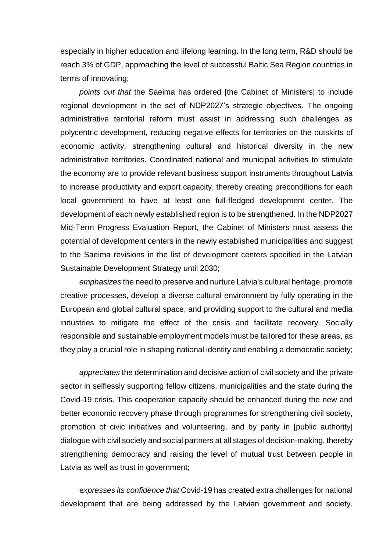especially in higher education and lifelong learning. In the long term, R&D should be reach 3% of GDP, approaching the level of successful Baltic Sea Region countries in terms of innovating;

*points out that* the Saeima has ordered [the Cabinet of Ministers] to include regional development in the set of NDP2027's strategic objectives. The ongoing administrative territorial reform must assist in addressing such challenges as polycentric development, reducing negative effects for territories on the outskirts of economic activity, strengthening cultural and historical diversity in the new administrative territories. Coordinated national and municipal activities to stimulate the economy are to provide relevant business support instruments throughout Latvia to increase productivity and export capacity, thereby creating preconditions for each local government to have at least one full-fledged development center. The development of each newly established region is to be strengthened. In the NDP2027 Mid-Term Progress Evaluation Report, the Cabinet of Ministers must assess the potential of development centers in the newly established municipalities and suggest to the Saeima revisions in the list of development centers specified in the Latvian Sustainable Development Strategy until 2030;

*emphasizes* the need to preserve and nurture Latvia's cultural heritage, promote creative processes, develop a diverse cultural environment by fully operating in the European and global cultural space, and providing support to the cultural and media industries to mitigate the effect of the crisis and facilitate recovery. Socially responsible and sustainable employment models must be tailored for these areas, as they play a crucial role in shaping national identity and enabling a democratic society;

*appreciates* the determination and decisive action of civil society and the private sector in selflessly supporting fellow citizens, municipalities and the state during the Covid-19 crisis. This cooperation capacity should be enhanced during the new and better economic recovery phase through programmes for strengthening civil society, promotion of civic initiatives and volunteering, and by parity in [public authority] dialogue with civil society and social partners at all stages of decision-making, thereby strengthening democracy and raising the level of mutual trust between people in Latvia as well as trust in government;

e*xpresses its confidence that* Covid-19 has created extra challenges for national development that are being addressed by the Latvian government and society.